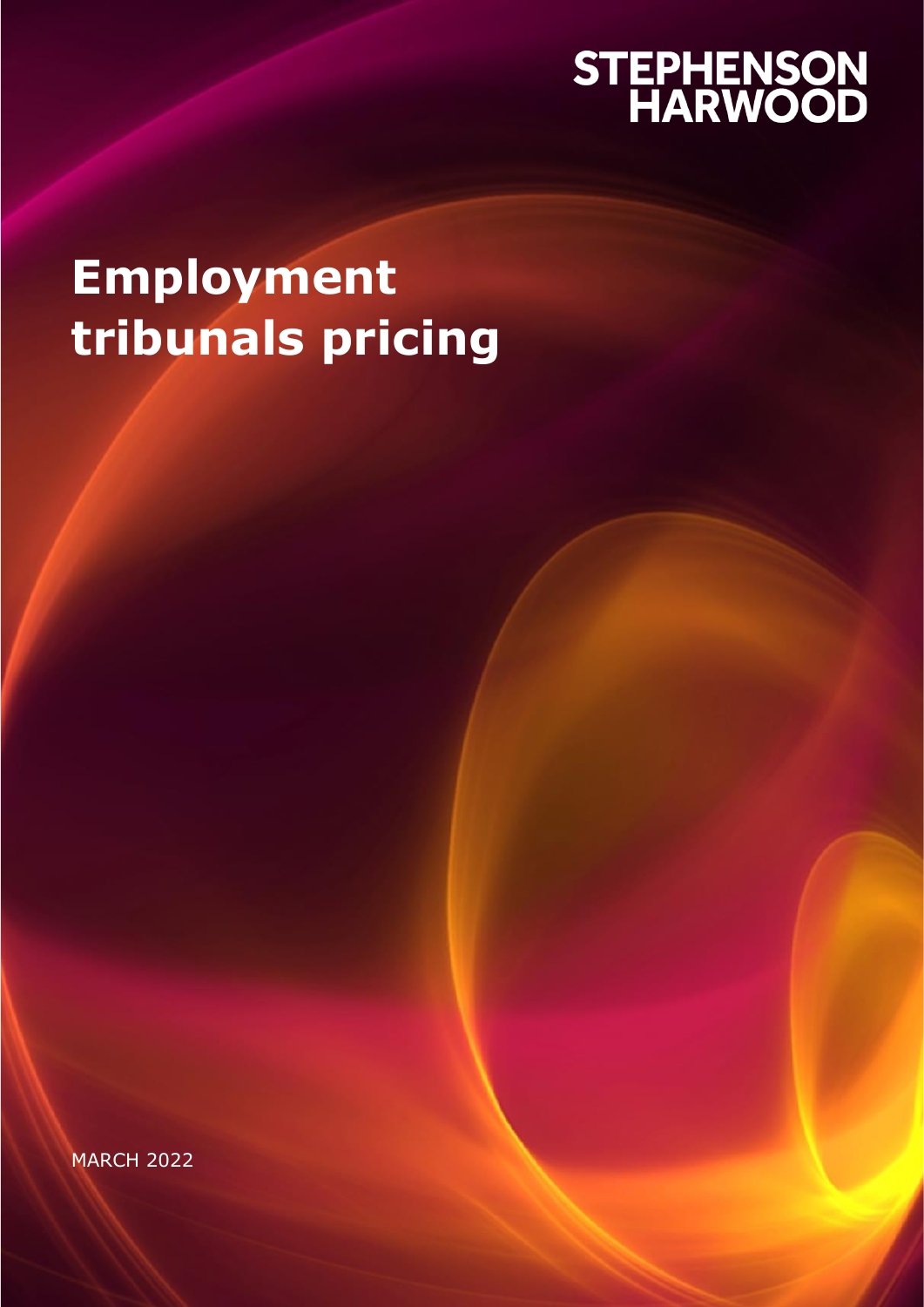# STEPHENSON<br>HARWOOD

# **Employment tribunals pricing**

MARCH 2022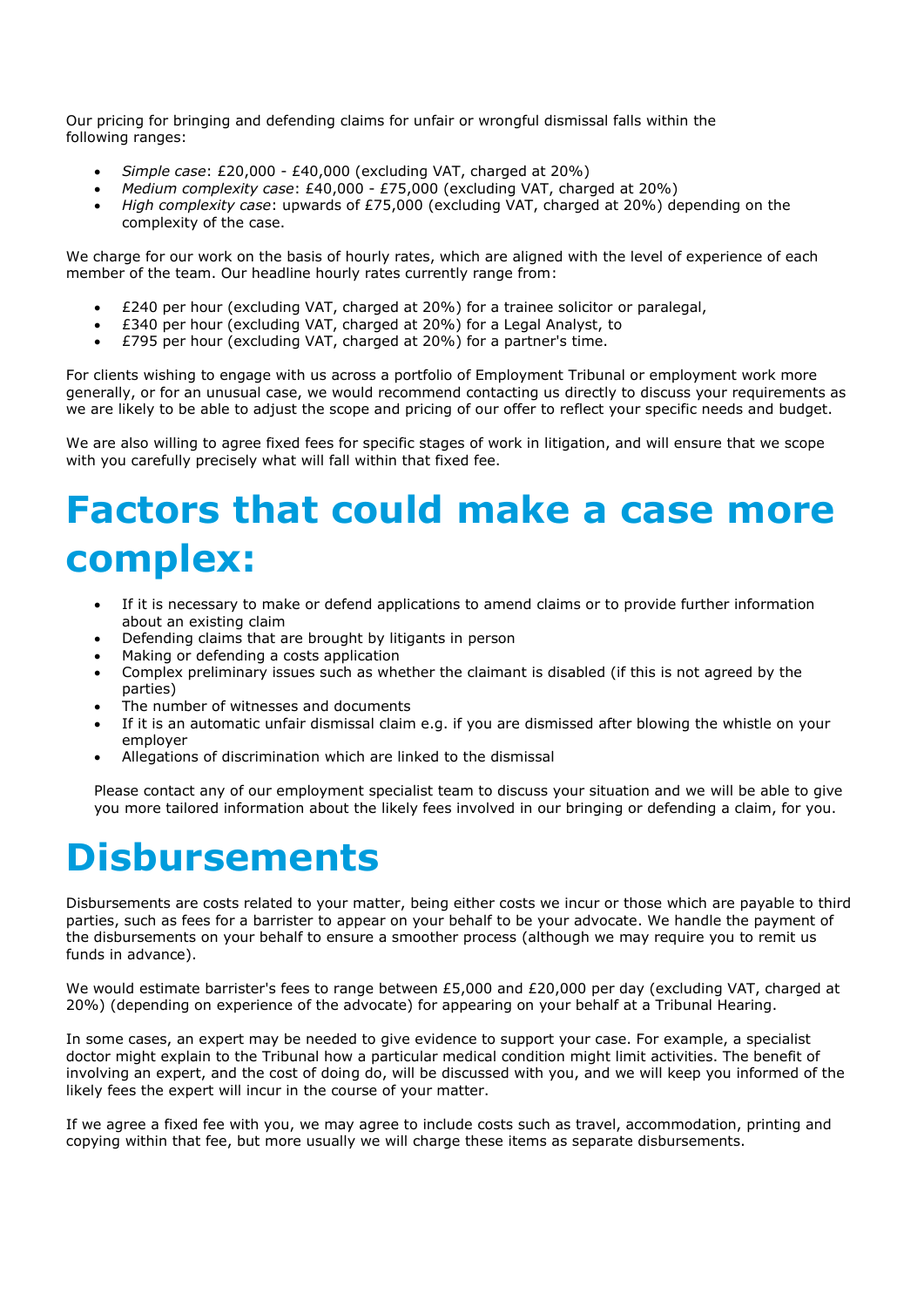Our pricing for bringing and defending claims for unfair or wrongful dismissal falls within the following ranges:

- *Simple case*: £20,000 £40,000 (excluding VAT, charged at 20%)
- *Medium complexity case*: £40,000 £75,000 (excluding VAT, charged at 20%)
- *High complexity case*: upwards of £75,000 (excluding VAT, charged at 20%) depending on the complexity of the case.

We charge for our work on the basis of hourly rates, which are aligned with the level of experience of each member of the team. Our headline hourly rates currently range from:

- £240 per hour (excluding VAT, charged at 20%) for a trainee solicitor or paralegal,
- £340 per hour (excluding VAT, charged at 20%) for a Legal Analyst, to
- £795 per hour (excluding VAT, charged at 20%) for a partner's time.

For clients wishing to engage with us across a portfolio of Employment Tribunal or employment work more generally, or for an unusual case, we would recommend contacting us directly to discuss your requirements as we are likely to be able to adjust the scope and pricing of our offer to reflect your specific needs and budget.

We are also willing to agree fixed fees for specific stages of work in litigation, and will ensure that we scope with you carefully precisely what will fall within that fixed fee.

# **Factors that could make a case more complex:**

- If it is necessary to make or defend applications to amend claims or to provide further information about an existing claim
- Defending claims that are brought by litigants in person
- Making or defending a costs application
- Complex preliminary issues such as whether the claimant is disabled (if this is not agreed by the parties)
- The number of witnesses and documents
- If it is an automatic unfair dismissal claim e.g. if you are dismissed after blowing the whistle on your employer
- Allegations of discrimination which are linked to the dismissal

Please contact any of our employment specialist team to discuss your situation and we will be able to give you more tailored information about the likely fees involved in our bringing or defending a claim, for you.

### **Disbursements**

Disbursements are costs related to your matter, being either costs we incur or those which are payable to third parties, such as fees for a barrister to appear on your behalf to be your advocate. We handle the payment of the disbursements on your behalf to ensure a smoother process (although we may require you to remit us funds in advance).

We would estimate barrister's fees to range between £5,000 and £20,000 per day (excluding VAT, charged at 20%) (depending on experience of the advocate) for appearing on your behalf at a Tribunal Hearing.

In some cases, an expert may be needed to give evidence to support your case. For example, a specialist doctor might explain to the Tribunal how a particular medical condition might limit activities. The benefit of involving an expert, and the cost of doing do, will be discussed with you, and we will keep you informed of the likely fees the expert will incur in the course of your matter.

If we agree a fixed fee with you, we may agree to include costs such as travel, accommodation, printing and copying within that fee, but more usually we will charge these items as separate disbursements.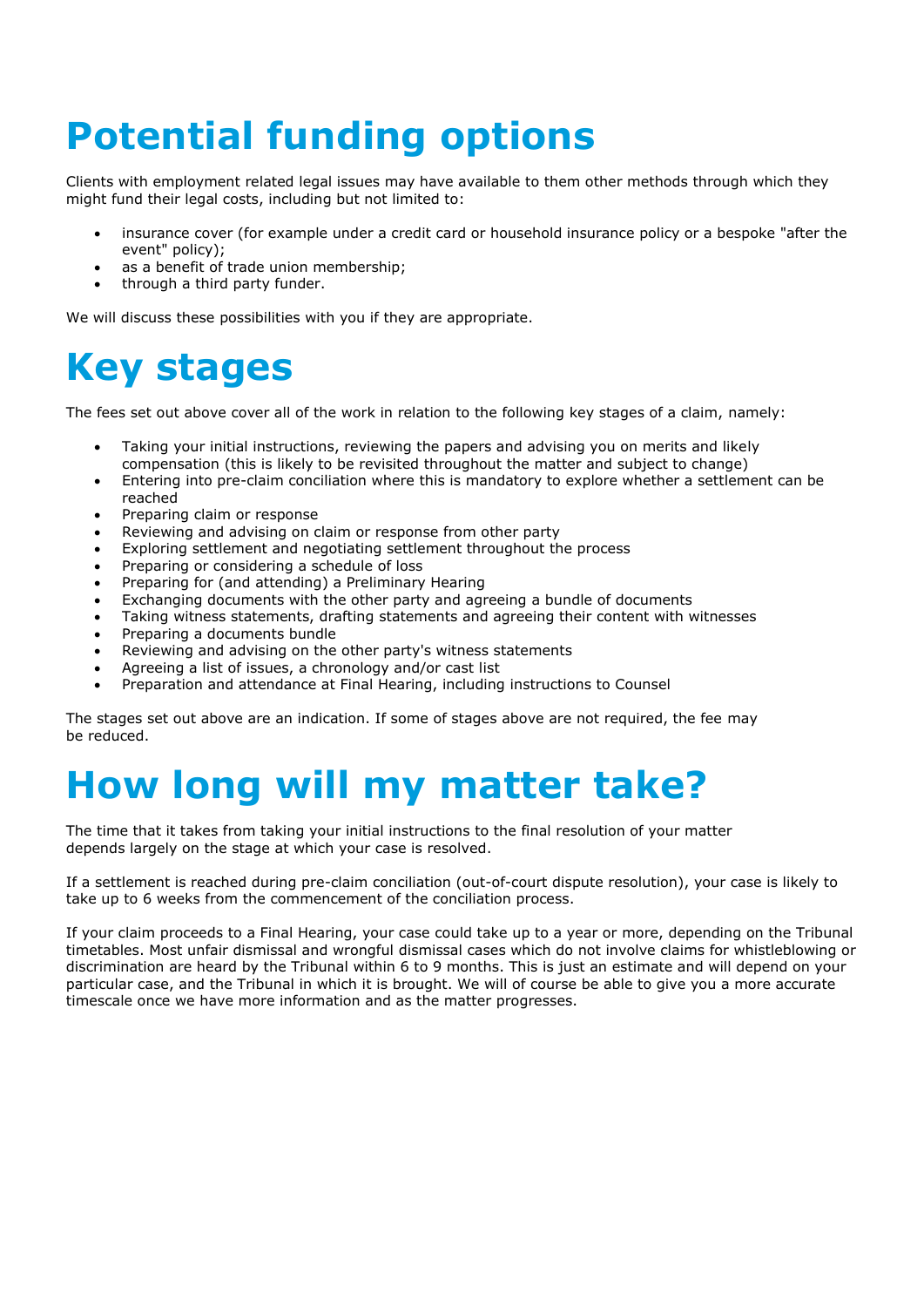# **Potential funding options**

Clients with employment related legal issues may have available to them other methods through which they might fund their legal costs, including but not limited to:

- insurance cover (for example under a credit card or household insurance policy or a bespoke "after the event" policy);
- as a benefit of trade union membership:
- through a third party funder.

We will discuss these possibilities with you if they are appropriate.

# **Key stages**

The fees set out above cover all of the work in relation to the following key stages of a claim, namely:

- Taking your initial instructions, reviewing the papers and advising you on merits and likely compensation (this is likely to be revisited throughout the matter and subject to change)
- Entering into pre-claim conciliation where this is mandatory to explore whether a settlement can be reached
- Preparing claim or response
- Reviewing and advising on claim or response from other party
- Exploring settlement and negotiating settlement throughout the process
- Preparing or considering a schedule of loss
- Preparing for (and attending) a Preliminary Hearing
- Exchanging documents with the other party and agreeing a bundle of documents
- Taking witness statements, drafting statements and agreeing their content with witnesses
- Preparing a documents bundle
- Reviewing and advising on the other party's witness statements
- Agreeing a list of issues, a chronology and/or cast list
- Preparation and attendance at Final Hearing, including instructions to Counsel

The stages set out above are an indication. If some of stages above are not required, the fee may be reduced.

## **How long will my matter take?**

The time that it takes from taking your initial instructions to the final resolution of your matter depends largely on the stage at which your case is resolved.

If a settlement is reached during pre-claim conciliation (out-of-court dispute resolution), your case is likely to take up to 6 weeks from the commencement of the conciliation process.

If your claim proceeds to a Final Hearing, your case could take up to a year or more, depending on the Tribunal timetables. Most unfair dismissal and wrongful dismissal cases which do not involve claims for whistleblowing or discrimination are heard by the Tribunal within 6 to 9 months. This is just an estimate and will depend on your particular case, and the Tribunal in which it is brought. We will of course be able to give you a more accurate timescale once we have more information and as the matter progresses.